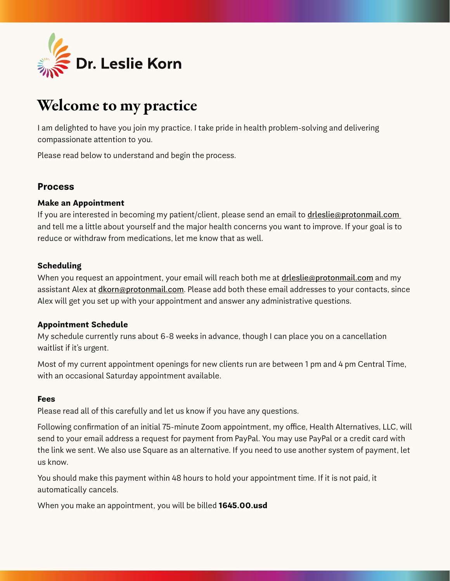

# Welcome to my practice

I am delighted to have you join my practice. I take pride in health problem-solving and delivering compassionate attention to you.

Please read below to understand and begin the process.

# **Process**

# **Make an Appointment**

If you are interested in becoming my patient/client, please send an email to *drleslie@protonmail.com* and tell me a little about yourself and the major health concerns you want to improve. If your goal is to reduce or withdraw from medications, let me know that as well.

# **Scheduling**

When you request an appointment, your email will reach both me at drieslie@protonmail.com and my assistant Alex at *dkorn@protonmail.com*. Please add both these email addresses to your contacts, since Alex will get you set up with your appointment and answer any administrative questions.

#### **Appointment Schedule**

My schedule currently runs about 6-8 weeks in advance, though I can place you on a cancellation waitlist if it's urgent.

Most of my current appointment openings for new clients run are between 1 pm and 4 pm Central Time, with an occasional Saturday appointment available.

#### **Fees**

Please read all of this carefully and let us know if you have any questions.

Following confirmation of an initial 75-minute Zoom appointment, my office, Health Alternatives, LLC, will send to your email address a request for payment from PayPal. You may use PayPal or a credit card with the link we sent. We also use Square as an alternative. If you need to use another system of payment, let us know.

You should make this payment within 48 hours to hold your appointment time. If it is not paid, it automatically cancels.

When you make an appointment, you will be billed **1645.00.usd**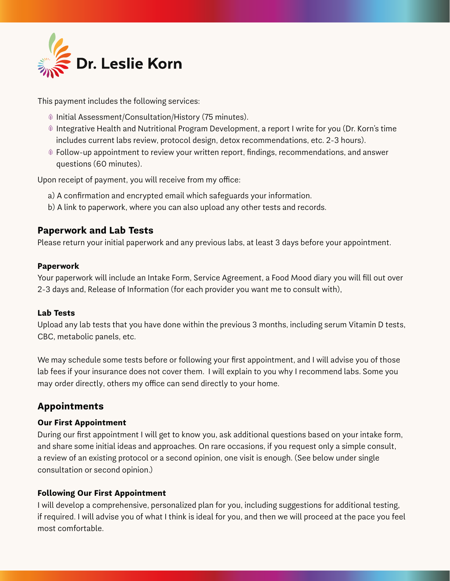

This payment includes the following services:

- $\textcircled{\tiny 1}$  Initial Assessment/Consultation/History (75 minutes).
- $\textcircled{\tiny{\textcirc}}$  Integrative Health and Nutritional Program Development, a report I write for you (Dr. Korn's time includes current labs review, protocol design, detox recommendations, etc. 2-3 hours).
- $\textcircled{\tiny{\textcirc}}$  Follow-up appointment to review your written report, findings, recommendations, and answer questions (60 minutes).

Upon receipt of payment, you will receive from my office:

- a) A confirmation and encrypted email which safeguards your information.
- b) A link to paperwork, where you can also upload any other tests and records.

# **Paperwork and Lab Tests**

Please return your initial paperwork and any previous labs, at least 3 days before your appointment.

#### **Paperwork**

Your paperwork will include an Intake Form, Service Agreement, a Food Mood diary you will fill out over 2-3 days and, Release of Information (for each provider you want me to consult with),

#### **Lab Tests**

Upload any lab tests that you have done within the previous 3 months, including serum Vitamin D tests, CBC, metabolic panels, etc.

We may schedule some tests before or following your first appointment, and I will advise you of those lab fees if your insurance does not cover them. I will explain to you why I recommend labs. Some you may order directly, others my office can send directly to your home.

# **Appointments**

#### **Our First Appointment**

During our first appointment I will get to know you, ask additional questions based on your intake form, and share some initial ideas and approaches. On rare occasions, if you request only a simple consult, a review of an existing protocol or a second opinion, one visit is enough. (See below under single consultation or second opinion.)

#### **Following Our First Appointment**

I will develop a comprehensive, personalized plan for you, including suggestions for additional testing, if required. I will advise you of what I think is ideal for you, and then we will proceed at the pace you feel most comfortable.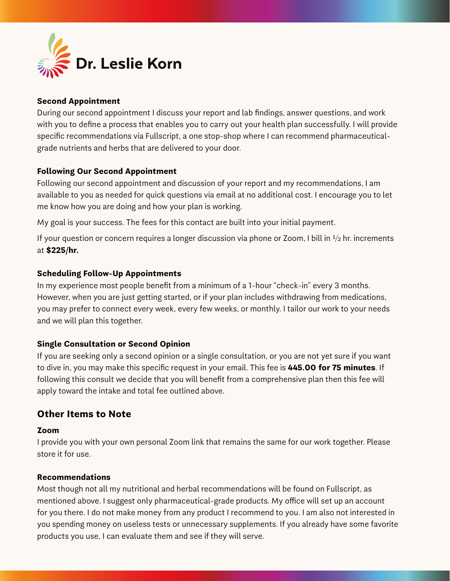

# **Second Appointment**

During our second appointment I discuss your report and lab findings, answer questions, and work with you to define a process that enables you to carry out your health plan successfully. I will provide specific recommendations via Fullscript, a one stop-shop where I can recommend pharmaceuticalgrade nutrients and herbs that are delivered to your door.

# **Following Our Second Appointment**

Following our second appointment and discussion of your report and my recommendations, I am available to you as needed for quick questions via email at no additional cost. I encourage you to let me know how you are doing and how your plan is working.

My goal is your success. The fees for this contact are built into your initial payment.

If your question or concern requires a longer discussion via phone or Zoom, I bill in  $\frac{1}{2}$  hr. increments at **\$225/hr.**

# **Scheduling Follow-Up Appointments**

In my experience most people benefit from a minimum of a 1-hour "check-in" every 3 months. However, when you are just getting started, or if your plan includes withdrawing from medications, you may prefer to connect every week, every few weeks, or monthly. I tailor our work to your needs and we will plan this together.

# **Single Consultation or Second Opinion**

If you are seeking only a second opinion or a single consultation, or you are not yet sure if you want to dive in, you may make this specific request in your email. This fee is **445.00 for 75 minutes**. If following this consult we decide that you will benefit from a comprehensive plan then this fee will apply toward the intake and total fee outlined above.

# **Other Items to Note**

#### **Zoom**

I provide you with your own personal Zoom link that remains the same for our work together. Please store it for use.

# **Recommendations**

Most though not all my nutritional and herbal recommendations will be found on Fullscript, as mentioned above. I suggest only pharmaceutical-grade products. My office will set up an account for you there. I do not make money from any product I recommend to you. I am also not interested in you spending money on useless tests or unnecessary supplements. If you already have some favorite products you use, I can evaluate them and see if they will serve.